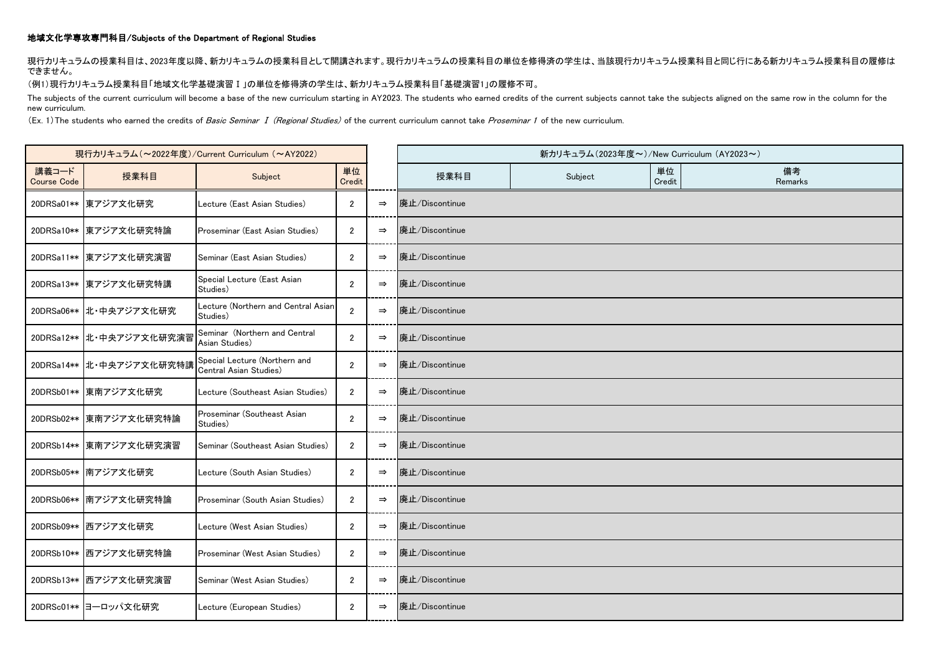## 地域文化学専攻専門科目/Subjects of the Department of Regional Studies

現行カリキュラムの授業科目は、2023年度以降、新カリキュラムの授業科目として開講されます。現行カリキュラムの授業科目の単位を修得済の学生は、当該現行カリキュラム授業科目と同じ行にある新カリキュラム授業科目の履修は できません。

(例1)現行カリキュラム授業科目「地域文化学基礎演習Ⅰ」の単位を修得済の学生は、新カリキュラム授業科目「基礎演習1」の履修不可。

The subjects of the current curriculum will become a base of the new curriculum starting in AY2023. The students who earned credits of the current subjects cannot take the subjects aligned on the same row in the column for new curriculum.

(Ex. 1) The students who earned the credits of Basic Seminar I (Regional Studies) of the current curriculum cannot take Proseminar 1 of the new curriculum.

| 現行カリキュラム (~2022年度)/Current Curriculum (~AY2022) |                          |                                                         |                |               |                | 新カリキュラム (2023年度~)/New Curriculum (AY2023~) |              |               |
|-------------------------------------------------|--------------------------|---------------------------------------------------------|----------------|---------------|----------------|--------------------------------------------|--------------|---------------|
| 講義コード<br><b>Course Code</b>                     | 授業科目                     | Subject                                                 | 単位<br>Credit   |               | 授業科目           | Subject                                    | 単位<br>Credit | 備考<br>Remarks |
|                                                 | 20DRSa01** 東アジア文化研究      | Lecture (East Asian Studies)                            | $\overline{2}$ | $\Rightarrow$ | 廃止/Discontinue |                                            |              |               |
|                                                 | 20DRSa10** 東アジア文化研究特論    | Proseminar (East Asian Studies)                         | $\overline{2}$ | $\Rightarrow$ | 廃止/Discontinue |                                            |              |               |
|                                                 | 20DRSa11** 東アジア文化研究演習    | Seminar (East Asian Studies)                            | $\overline{2}$ | $\Rightarrow$ | 廃止/Discontinue |                                            |              |               |
|                                                 | 20DRSa13** 東アジア文化研究特講    | Special Lecture (East Asian<br>Studies)                 | $\overline{2}$ | $\Rightarrow$ | 廃止/Discontinue |                                            |              |               |
|                                                 | 20DRSa06** 北·中央アジア文化研究   | Lecture (Northern and Central Asian<br>Studies)         | $\overline{2}$ | $\Rightarrow$ | 廃止/Discontinue |                                            |              |               |
|                                                 | 20DRSa12** 北·中央アジア文化研究演習 | Seminar (Northern and Central<br>Asian Studies)         | $\overline{2}$ | $\Rightarrow$ | 廃止/Discontinue |                                            |              |               |
|                                                 | 20DRSa14** 北·中央アジア文化研究特講 | Special Lecture (Northern and<br>Central Asian Studies) | $\overline{2}$ | $\Rightarrow$ | 廃止/Discontinue |                                            |              |               |
|                                                 | 20DRSb01** 東南アジア文化研究     | Lecture (Southeast Asian Studies)                       | $\overline{2}$ | $\Rightarrow$ | 廃止/Discontinue |                                            |              |               |
|                                                 | 20DRSb02** 東南アジア文化研究特論   | Proseminar (Southeast Asian<br>Studies)                 | $\overline{2}$ | $\Rightarrow$ | 廃止/Discontinue |                                            |              |               |
|                                                 | 20DRSb14** 東南アジア文化研究演習   | Seminar (Southeast Asian Studies)                       | $\overline{2}$ | $\Rightarrow$ | 廃止/Discontinue |                                            |              |               |
|                                                 | 20DRSb05** 南アジア文化研究      | Lecture (South Asian Studies)                           | $\overline{2}$ | $\Rightarrow$ | 廃止/Discontinue |                                            |              |               |
|                                                 | 20DRSb06** 南アジア文化研究特論    | Proseminar (South Asian Studies)                        | $\overline{2}$ | $\Rightarrow$ | 廃止/Discontinue |                                            |              |               |
|                                                 | 20DRSb09** 西アジア文化研究      | Lecture (West Asian Studies)                            | $\overline{2}$ | $\Rightarrow$ | 廃止/Discontinue |                                            |              |               |
|                                                 | 20DRSb10** 西アジア文化研究特論    | Proseminar (West Asian Studies)                         | $\overline{2}$ | $\Rightarrow$ | 廃止/Discontinue |                                            |              |               |
|                                                 | 20DRSb13** 西アジア文化研究演習    | Seminar (West Asian Studies)                            | $\overline{2}$ | $\Rightarrow$ | 廃止/Discontinue |                                            |              |               |
|                                                 | 20DRSc01** ヨーロッパ文化研究     | Lecture (European Studies)                              | $\overline{2}$ | $\Rightarrow$ | 廃止/Discontinue |                                            |              |               |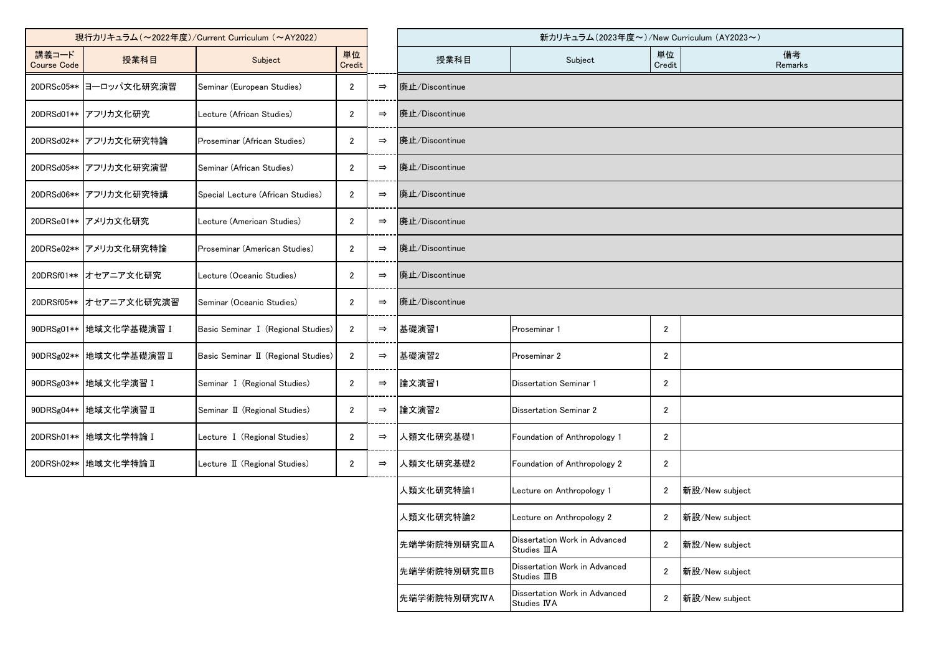| 現行カリキュラム (~2022年度)/Current Curriculum (~AY2022) |                          |                                     |                |               | 新カリキュラム(2023年度~)/New Curriculum (AY2023~) |                                                       |                  |                |
|-------------------------------------------------|--------------------------|-------------------------------------|----------------|---------------|-------------------------------------------|-------------------------------------------------------|------------------|----------------|
| 講義コード<br><b>Course Code</b>                     | 授業科目                     | Subject                             | 単位<br>Credit   |               | 授業科目                                      | Subject                                               | 単位<br>Credit     | 備考<br>Remarks  |
|                                                 | 20DRSc05** ヨーロッパ文化研究演習   | Seminar (European Studies)          | $\overline{2}$ | $\Rightarrow$ | 廃止/Discontinue                            |                                                       |                  |                |
|                                                 | 20DRSd01** アフリカ文化研究      | Lecture (African Studies)           | $\overline{2}$ | $\Rightarrow$ | 廃止/Discontinue                            |                                                       |                  |                |
|                                                 | 20DRSd02** フフリカ文化研究特論    | Proseminar (African Studies)        | $\overline{2}$ | $\Rightarrow$ | 廃止/Discontinue                            |                                                       |                  |                |
|                                                 | 20DRSd05** フフリカ文化研究演習    | Seminar (African Studies)           | 2              | $\Rightarrow$ | 廃止/Discontinue                            |                                                       |                  |                |
|                                                 | 20DRSd06** アフリカ文化研究特講    | Special Lecture (African Studies)   | $\overline{2}$ | $\Rightarrow$ | 廃止/Discontinue                            |                                                       |                  |                |
|                                                 | 20DRSe01** アメリカ文化研究      | Lecture (American Studies)          | 2              | $\Rightarrow$ | 廃止/Discontinue                            |                                                       |                  |                |
|                                                 | 20DRSe02** フメリカ文化研究特論    | Proseminar (American Studies)       | $\overline{2}$ | $\Rightarrow$ | 廃止/Discontinue                            |                                                       |                  |                |
|                                                 | 20DRSf01** オセアニア文化研究     | Lecture (Oceanic Studies)           | $\overline{2}$ | $\Rightarrow$ | 廃止/Discontinue                            |                                                       |                  |                |
| 20DRSf05**                                      | オセアニア文化研究演習              | Seminar (Oceanic Studies)           | $\overline{2}$ | $\Rightarrow$ | 廃止/Discontinue                            |                                                       |                  |                |
|                                                 | 90DRSg01**  地域文化学基礎演習 I  | Basic Seminar I (Regional Studies)  | $\overline{2}$ | $\Rightarrow$ | 基礎演習1                                     | Proseminar 1                                          | $\mathbf{2}$     |                |
|                                                 | 90DRSg02**  地域文化学基礎演習 II | Basic Seminar II (Regional Studies) | $\overline{2}$ | $\Rightarrow$ | 基礎演習2                                     | Proseminar 2                                          | $\mathbf{2}$     |                |
|                                                 | 90DRSg03**   地域文化学演習 I   | Seminar I (Regional Studies)        | $\mathbf{2}$   | $\Rightarrow$ | 論文演習1                                     | <b>Dissertation Seminar 1</b>                         | $\overline{2}$   |                |
|                                                 | 90DRSg04** 地域文化学演習 II    | Seminar II (Regional Studies)       | $\overline{2}$ | $\Rightarrow$ | 論文演習2                                     | <b>Dissertation Seminar 2</b>                         | $\overline{2}$   |                |
|                                                 | 20DRSh01**   地域文化学特論 I   | Lecture I (Regional Studies)        | $\mathbf{2}$   | $\Rightarrow$ | 人類文化研究基礎1                                 | Foundation of Anthropology 1                          | $\overline{2}$   |                |
|                                                 | 20DRSh02** 地域文化学特論 II    | Lecture II (Regional Studies)       | $\mathbf{2}$   | $\Rightarrow$ | 人類文化研究基礎2                                 | Foundation of Anthropology 2                          | $\boldsymbol{2}$ |                |
|                                                 |                          |                                     |                |               | 人類文化研究特論1                                 | Lecture on Anthropology 1                             | $\mathbf{2}$     | 新設/New subject |
|                                                 |                          |                                     |                |               | 人類文化研究特論2                                 | Lecture on Anthropology 2                             | $\mathbf{2}$     | 新設/New subject |
|                                                 |                          |                                     |                |               | 先端学術院特別研究ⅢA                               | Dissertation Work in Advanced<br>Studies <b>III</b> A | $\overline{2}$   | 新設/New subject |
|                                                 |                          |                                     |                |               | 先端学術院特別研究ⅢB                               | Dissertation Work in Advanced<br>Studies III B        | $\mathbf{2}$     | 新設/New subject |
|                                                 |                          |                                     |                |               | 先端学術院特別研究IVA                              | Dissertation Work in Advanced<br>Studies IVA          | $\mathbf{2}$     | 新設/New subject |